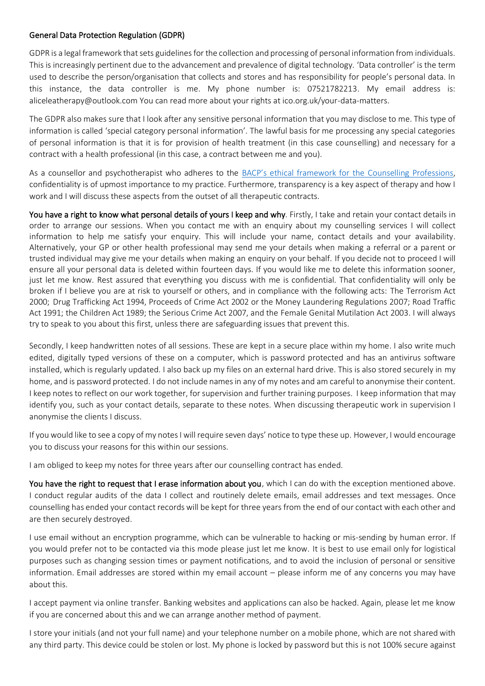## General Data Protection Regulation (GDPR)

GDPR is a legal framework that sets guidelines for the collection and processing of personal information from individuals. This is increasingly pertinent due to the advancement and prevalence of digital technology. 'Data controller' is the term used to describe the person/organisation that collects and stores and has responsibility for people's personal data. In this instance, the data controller is me. My phone number is: 07521782213. My email address is: aliceleatherapy@outlook.com You can read more about your rights at ico.org.uk/your-data-matters.

The GDPR also makes sure that I look after any sensitive personal information that you may disclose to me. This type of information is called 'special category personal information'. The lawful basis for me processing any special categories of personal information is that it is for provision of health treatment (in this case counselling) and necessary for a contract with a health professional (in this case, a contract between me and you).

As a counsellor and psychotherapist who adheres to the [BACP's ethical framework for the](https://www.bacp.co.uk/events-and-resources/ethics-and-standards/ethical-framework-for-the-counselling-professions/) Counselling Professions, confidentiality is of upmost importance to my practice. Furthermore, transparency is a key aspect of therapy and how I work and I will discuss these aspects from the outset of all therapeutic contracts.

You have a right to know what personal details of yours I keep and why. Firstly, I take and retain your contact details in order to arrange our sessions. When you contact me with an enquiry about my counselling services I will collect information to help me satisfy your enquiry. This will include your name, contact details and your availability. Alternatively, your GP or other health professional may send me your details when making a referral or a parent or trusted individual may give me your details when making an enquiry on your behalf. If you decide not to proceed I will ensure all your personal data is deleted within fourteen days. If you would like me to delete this information sooner, just let me know. Rest assured that everything you discuss with me is confidential. That confidentiality will only be broken if I believe you are at risk to yourself or others, and in compliance with the following acts: The Terrorism Act 2000; Drug Trafficking Act 1994, Proceeds of Crime Act 2002 or the Money Laundering Regulations 2007; Road Traffic Act 1991; the Children Act 1989; the Serious Crime Act 2007, and the Female Genital Mutilation Act 2003. I will always try to speak to you about this first, unless there are safeguarding issues that prevent this.

Secondly, I keep handwritten notes of all sessions. These are kept in a secure place within my home. I also write much edited, digitally typed versions of these on a computer, which is password protected and has an antivirus software installed, which is regularly updated. I also back up my files on an external hard drive. This is also stored securely in my home, and is password protected. I do not include names in any of my notes and am careful to anonymise their content. I keep notes to reflect on our work together, for supervision and further training purposes. I keep information that may identify you, such as your contact details, separate to these notes. When discussing therapeutic work in supervision I anonymise the clients I discuss.

If you would like to see a copy of my notes I will require seven days' notice to type these up. However, I would encourage you to discuss your reasons for this within our sessions.

I am obliged to keep my notes for three years after our counselling contract has ended.

You have the right to request that I erase information about you, which I can do with the exception mentioned above. I conduct regular audits of the data I collect and routinely delete emails, email addresses and text messages. Once counselling has ended your contact records will be kept for three years from the end of our contact with each other and are then securely destroyed.

I use email without an encryption programme, which can be vulnerable to hacking or mis-sending by human error. If you would prefer not to be contacted via this mode please just let me know. It is best to use email only for logistical purposes such as changing session times or payment notifications, and to avoid the inclusion of personal or sensitive information. Email addresses are stored within my email account – please inform me of any concerns you may have about this.

I accept payment via online transfer. Banking websites and applications can also be hacked. Again, please let me know if you are concerned about this and we can arrange another method of payment.

I store your initials (and not your full name) and your telephone number on a mobile phone, which are not shared with any third party. This device could be stolen or lost. My phone is locked by password but this is not 100% secure against